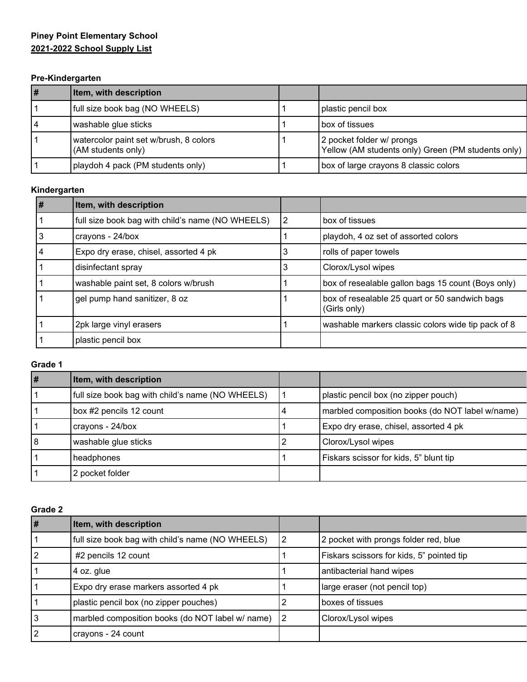# **Piney Point Elementary School 2021-2022 School Supply List**

### **Pre-Kindergarten**

| l# | Item, with description                                       |                                                                                 |
|----|--------------------------------------------------------------|---------------------------------------------------------------------------------|
|    | full size book bag (NO WHEELS)                               | plastic pencil box                                                              |
| 14 | washable glue sticks                                         | box of tissues                                                                  |
|    | watercolor paint set w/brush, 8 colors<br>(AM students only) | 2 pocket folder w/ prongs<br>Yellow (AM students only) Green (PM students only) |
|    | playdoh 4 pack (PM students only)                            | box of large crayons 8 classic colors                                           |

# **Kindergarten**

| #  | Item, with description                           |                |                                                                |
|----|--------------------------------------------------|----------------|----------------------------------------------------------------|
|    | full size book bag with child's name (NO WHEELS) | $\overline{2}$ | box of tissues                                                 |
| l3 | crayons - 24/box                                 |                | playdoh, 4 oz set of assorted colors                           |
| 4  | Expo dry erase, chisel, assorted 4 pk            | 3              | rolls of paper towels                                          |
|    | disinfectant spray                               | 3              | Clorox/Lysol wipes                                             |
|    | washable paint set, 8 colors w/brush             |                | box of resealable gallon bags 15 count (Boys only)             |
|    | gel pump hand sanitizer, 8 oz                    |                | box of resealable 25 quart or 50 sandwich bags<br>(Girls only) |
|    | 2pk large vinyl erasers                          |                | washable markers classic colors wide tip pack of 8             |
|    | plastic pencil box                               |                |                                                                |

# **Grade 1**

| $\vert \#$ | Item, with description                           |                                                 |
|------------|--------------------------------------------------|-------------------------------------------------|
|            | full size book bag with child's name (NO WHEELS) | plastic pencil box (no zipper pouch)            |
|            | box #2 pencils 12 count                          | marbled composition books (do NOT label w/name) |
|            | crayons - 24/box                                 | Expo dry erase, chisel, assorted 4 pk           |
| 18         | washable glue sticks                             | Clorox/Lysol wipes                              |
|            | headphones                                       | Fiskars scissor for kids, 5" blunt tip          |
|            | 2 pocket folder                                  |                                                 |

## **Grade 2**

| l# | Item, with description                           |   |                                           |
|----|--------------------------------------------------|---|-------------------------------------------|
|    | full size book bag with child's name (NO WHEELS) | 2 | 2 pocket with prongs folder red, blue     |
|    | #2 pencils 12 count                              |   | Fiskars scissors for kids, 5" pointed tip |
|    | 4 oz. glue                                       |   | antibacterial hand wipes                  |
|    | Expo dry erase markers assorted 4 pk             |   | large eraser (not pencil top)             |
|    | plastic pencil box (no zipper pouches)           |   | boxes of tissues                          |
|    | marbled composition books (do NOT label w/ name) | 2 | Clorox/Lysol wipes                        |
|    | crayons - 24 count                               |   |                                           |